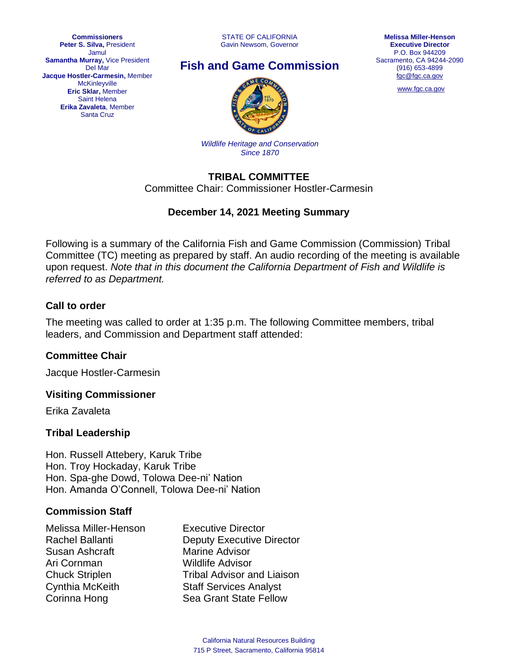STATE OF CALIFORNIA Gavin Newsom, Governor





[www.fgc.ca.gov](http://www.fgc.ca.gov/)



*Wildlife Heritage and Conservation Since 1870*

## **TRIBAL COMMITTEE**

Committee Chair: Commissioner Hostler-Carmesin

## **December 14, 2021 Meeting Summary**

Following is a summary of the California Fish and Game Commission (Commission) Tribal Committee (TC) meeting as prepared by staff. An audio recording of the meeting is available upon request. *Note that in this document the California Department of Fish and Wildlife is referred to as Department.*

## **Call to order**

The meeting was called to order at 1:35 p.m. The following Committee members, tribal leaders, and Commission and Department staff attended:

### **Committee Chair**

Jacque Hostler-Carmesin

### **Visiting Commissioner**

Erika Zavaleta

### **Tribal Leadership**

Hon. Russell Attebery, Karuk Tribe Hon. Troy Hockaday, Karuk Tribe Hon. Spa-ghe Dowd, Tolowa Dee-ni' Nation Hon. Amanda O'Connell, Tolowa Dee-ni' Nation

### **Commission Staff**

| <b>Executive Director</b>         |
|-----------------------------------|
| <b>Deputy Executive Director</b>  |
| <b>Marine Advisor</b>             |
| <b>Wildlife Advisor</b>           |
| <b>Tribal Advisor and Liaison</b> |
| <b>Staff Services Analyst</b>     |
| Sea Grant State Fellow            |
|                                   |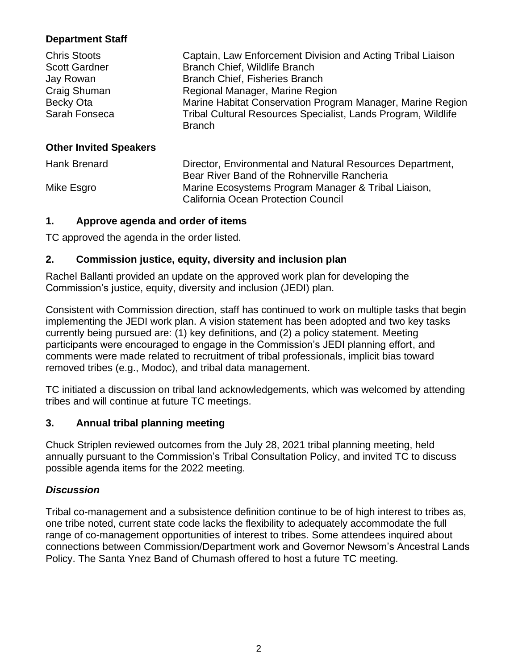# **Department Staff**

| <b>Chris Stoots</b><br><b>Scott Gardner</b><br>Jay Rowan<br>Craig Shuman<br>Becky Ota<br>Sarah Fonseca | Captain, Law Enforcement Division and Acting Tribal Liaison<br>Branch Chief, Wildlife Branch<br>Branch Chief, Fisheries Branch<br>Regional Manager, Marine Region<br>Marine Habitat Conservation Program Manager, Marine Region<br>Tribal Cultural Resources Specialist, Lands Program, Wildlife<br><b>Branch</b> |
|--------------------------------------------------------------------------------------------------------|-------------------------------------------------------------------------------------------------------------------------------------------------------------------------------------------------------------------------------------------------------------------------------------------------------------------|
| <b>Other Invited Speakers</b>                                                                          |                                                                                                                                                                                                                                                                                                                   |
| <b>Hank Brenard</b>                                                                                    | Director, Environmental and Natural Resources Department,<br>Bear River Band of the Rohnerville Rancheria                                                                                                                                                                                                         |
| Mike Esgro                                                                                             | Marine Ecosystems Program Manager & Tribal Liaison,<br><b>California Ocean Protection Council</b>                                                                                                                                                                                                                 |

### **1. Approve agenda and order of items**

TC approved the agenda in the order listed.

## **2. Commission justice, equity, diversity and inclusion plan**

Rachel Ballanti provided an update on the approved work plan for developing the Commission's justice, equity, diversity and inclusion (JEDI) plan.

Consistent with Commission direction, staff has continued to work on multiple tasks that begin implementing the JEDI work plan. A vision statement has been adopted and two key tasks currently being pursued are: (1) key definitions, and (2) a policy statement. Meeting participants were encouraged to engage in the Commission's JEDI planning effort, and comments were made related to recruitment of tribal professionals, implicit bias toward removed tribes (e.g., Modoc), and tribal data management.

TC initiated a discussion on tribal land acknowledgements, which was welcomed by attending tribes and will continue at future TC meetings.

## **3. Annual tribal planning meeting**

Chuck Striplen reviewed outcomes from the July 28, 2021 tribal planning meeting, held annually pursuant to the Commission's Tribal Consultation Policy, and invited TC to discuss possible agenda items for the 2022 meeting.

## *Discussion*

Tribal co-management and a subsistence definition continue to be of high interest to tribes as, one tribe noted, current state code lacks the flexibility to adequately accommodate the full range of co-management opportunities of interest to tribes. Some attendees inquired about connections between Commission/Department work and Governor Newsom's Ancestral Lands Policy. The Santa Ynez Band of Chumash offered to host a future TC meeting.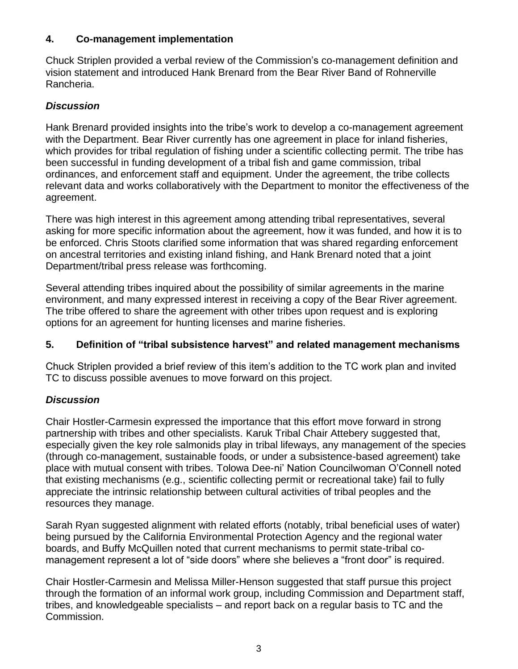### **4. Co-management implementation**

Chuck Striplen provided a verbal review of the Commission's co-management definition and vision statement and introduced Hank Brenard from the Bear River Band of Rohnerville Rancheria.

# *Discussion*

Hank Brenard provided insights into the tribe's work to develop a co-management agreement with the Department. Bear River currently has one agreement in place for inland fisheries, which provides for tribal regulation of fishing under a scientific collecting permit. The tribe has been successful in funding development of a tribal fish and game commission, tribal ordinances, and enforcement staff and equipment. Under the agreement, the tribe collects relevant data and works collaboratively with the Department to monitor the effectiveness of the agreement.

There was high interest in this agreement among attending tribal representatives, several asking for more specific information about the agreement, how it was funded, and how it is to be enforced. Chris Stoots clarified some information that was shared regarding enforcement on ancestral territories and existing inland fishing, and Hank Brenard noted that a joint Department/tribal press release was forthcoming.

Several attending tribes inquired about the possibility of similar agreements in the marine environment, and many expressed interest in receiving a copy of the Bear River agreement. The tribe offered to share the agreement with other tribes upon request and is exploring options for an agreement for hunting licenses and marine fisheries.

## **5. Definition of "tribal subsistence harvest" and related management mechanisms**

Chuck Striplen provided a brief review of this item's addition to the TC work plan and invited TC to discuss possible avenues to move forward on this project.

## *Discussion*

Chair Hostler-Carmesin expressed the importance that this effort move forward in strong partnership with tribes and other specialists. Karuk Tribal Chair Attebery suggested that, especially given the key role salmonids play in tribal lifeways, any management of the species (through co-management, sustainable foods, or under a subsistence-based agreement) take place with mutual consent with tribes. Tolowa Dee-ni' Nation Councilwoman O'Connell noted that existing mechanisms (e.g., scientific collecting permit or recreational take) fail to fully appreciate the intrinsic relationship between cultural activities of tribal peoples and the resources they manage.

Sarah Ryan suggested alignment with related efforts (notably, tribal beneficial uses of water) being pursued by the California Environmental Protection Agency and the regional water boards, and Buffy McQuillen noted that current mechanisms to permit state-tribal comanagement represent a lot of "side doors" where she believes a "front door" is required.

Chair Hostler-Carmesin and Melissa Miller-Henson suggested that staff pursue this project through the formation of an informal work group, including Commission and Department staff, tribes, and knowledgeable specialists – and report back on a regular basis to TC and the Commission.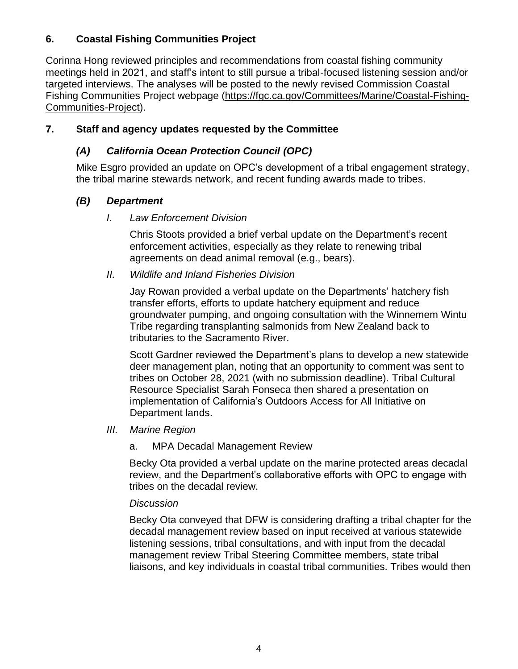# **6. Coastal Fishing Communities Project**

Corinna Hong reviewed principles and recommendations from coastal fishing community meetings held in 2021, and staff's intent to still pursue a tribal-focused listening session and/or targeted interviews. The analyses will be posted to the newly revised Commission Coastal Fishing Communities Project webpage [\(https://fgc.ca.gov/Committees/Marine/Coastal-Fishing-](https://fgc.ca.gov/Committees/Marine/Coastal-Fishing-Communities-Project)[Communities-Project\)](https://fgc.ca.gov/Committees/Marine/Coastal-Fishing-Communities-Project).

# **7. Staff and agency updates requested by the Committee**

# *(A) California Ocean Protection Council (OPC)*

Mike Esgro provided an update on OPC's development of a tribal engagement strategy, the tribal marine stewards network, and recent funding awards made to tribes.

# *(B) Department*

## *I. Law Enforcement Division*

Chris Stoots provided a brief verbal update on the Department's recent enforcement activities, especially as they relate to renewing tribal agreements on dead animal removal (e.g., bears).

## *II. Wildlife and Inland Fisheries Division*

Jay Rowan provided a verbal update on the Departments' hatchery fish transfer efforts, efforts to update hatchery equipment and reduce groundwater pumping, and ongoing consultation with the Winnemem Wintu Tribe regarding transplanting salmonids from New Zealand back to tributaries to the Sacramento River.

Scott Gardner reviewed the Department's plans to develop a new statewide deer management plan, noting that an opportunity to comment was sent to tribes on October 28, 2021 (with no submission deadline). Tribal Cultural Resource Specialist Sarah Fonseca then shared a presentation on implementation of California's Outdoors Access for All Initiative on Department lands.

- *III. Marine Region*
	- a. MPA Decadal Management Review

Becky Ota provided a verbal update on the marine protected areas decadal review, and the Department's collaborative efforts with OPC to engage with tribes on the decadal review.

## *Discussion*

Becky Ota conveyed that DFW is considering drafting a tribal chapter for the decadal management review based on input received at various statewide listening sessions, tribal consultations, and with input from the decadal management review Tribal Steering Committee members, state tribal liaisons, and key individuals in coastal tribal communities. Tribes would then